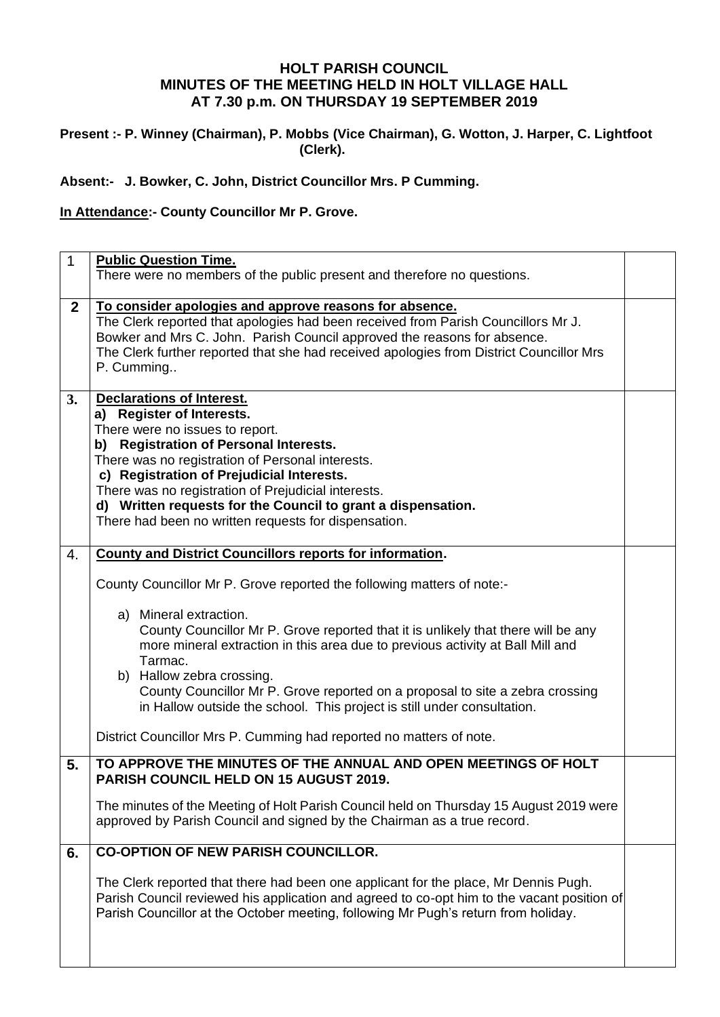## **HOLT PARISH COUNCIL MINUTES OF THE MEETING HELD IN HOLT VILLAGE HALL AT 7.30 p.m. ON THURSDAY 19 SEPTEMBER 2019**

### **Present :- P. Winney (Chairman), P. Mobbs (Vice Chairman), G. Wotton, J. Harper, C. Lightfoot (Clerk).**

## **Absent:- J. Bowker, C. John, District Councillor Mrs. P Cumming.**

## **In Attendance:- County Councillor Mr P. Grove.**

| $\mathbf{1}$ | <b>Public Question Time.</b><br>There were no members of the public present and therefore no questions.                                                                                                                                                                                                                                                                                                                                                                                                                                                                                                               |  |
|--------------|-----------------------------------------------------------------------------------------------------------------------------------------------------------------------------------------------------------------------------------------------------------------------------------------------------------------------------------------------------------------------------------------------------------------------------------------------------------------------------------------------------------------------------------------------------------------------------------------------------------------------|--|
| $\mathbf{2}$ | To consider apologies and approve reasons for absence.<br>The Clerk reported that apologies had been received from Parish Councillors Mr J.<br>Bowker and Mrs C. John. Parish Council approved the reasons for absence.<br>The Clerk further reported that she had received apologies from District Councillor Mrs<br>P. Cumming                                                                                                                                                                                                                                                                                      |  |
| 3.           | <b>Declarations of Interest.</b><br>a) Register of Interests.<br>There were no issues to report.<br>b) Registration of Personal Interests.<br>There was no registration of Personal interests.<br>c) Registration of Prejudicial Interests.<br>There was no registration of Prejudicial interests.<br>d) Written requests for the Council to grant a dispensation.<br>There had been no written requests for dispensation.                                                                                                                                                                                            |  |
| 4.           | <b>County and District Councillors reports for information.</b><br>County Councillor Mr P. Grove reported the following matters of note:-<br>a) Mineral extraction.<br>County Councillor Mr P. Grove reported that it is unlikely that there will be any<br>more mineral extraction in this area due to previous activity at Ball Mill and<br>Tarmac.<br>b) Hallow zebra crossing.<br>County Councillor Mr P. Grove reported on a proposal to site a zebra crossing<br>in Hallow outside the school. This project is still under consultation.<br>District Councillor Mrs P. Cumming had reported no matters of note. |  |
| 5.           | TO APPROVE THE MINUTES OF THE ANNUAL AND OPEN MEETINGS OF HOLT<br><b>PARISH COUNCIL HELD ON 15 AUGUST 2019.</b><br>The minutes of the Meeting of Holt Parish Council held on Thursday 15 August 2019 were<br>approved by Parish Council and signed by the Chairman as a true record.                                                                                                                                                                                                                                                                                                                                  |  |
| 6.           | <b>CO-OPTION OF NEW PARISH COUNCILLOR.</b><br>The Clerk reported that there had been one applicant for the place, Mr Dennis Pugh.<br>Parish Council reviewed his application and agreed to co-opt him to the vacant position of<br>Parish Councillor at the October meeting, following Mr Pugh's return from holiday.                                                                                                                                                                                                                                                                                                 |  |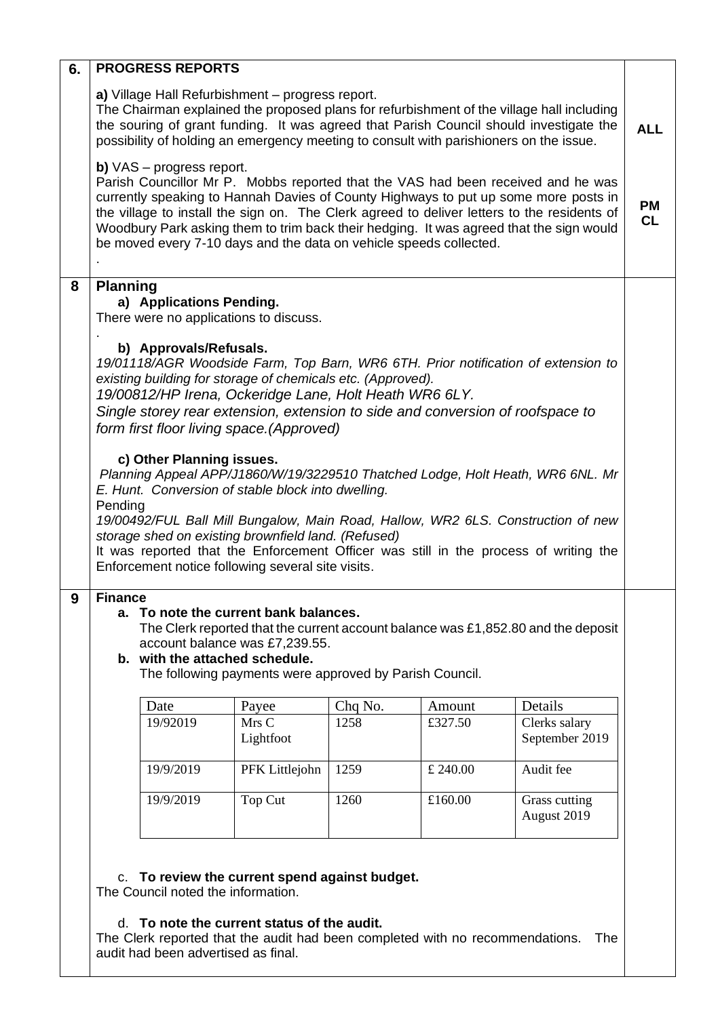| 6. |                 | <b>PROGRESS REPORTS</b>                                                      |                                                                                                                                                                                                                                                                                                                                                                                                                        |                                 |                                          |                                                                                                                                                                                                                                                                                                                                                                   |                        |
|----|-----------------|------------------------------------------------------------------------------|------------------------------------------------------------------------------------------------------------------------------------------------------------------------------------------------------------------------------------------------------------------------------------------------------------------------------------------------------------------------------------------------------------------------|---------------------------------|------------------------------------------|-------------------------------------------------------------------------------------------------------------------------------------------------------------------------------------------------------------------------------------------------------------------------------------------------------------------------------------------------------------------|------------------------|
|    |                 |                                                                              | a) Village Hall Refurbishment - progress report.<br>possibility of holding an emergency meeting to consult with parishioners on the issue.                                                                                                                                                                                                                                                                             |                                 |                                          | The Chairman explained the proposed plans for refurbishment of the village hall including<br>the souring of grant funding. It was agreed that Parish Council should investigate the                                                                                                                                                                               | <b>ALL</b>             |
|    |                 | <b>b)</b> $VAS - progress report.$                                           | be moved every 7-10 days and the data on vehicle speeds collected.                                                                                                                                                                                                                                                                                                                                                     |                                 |                                          | Parish Councillor Mr P. Mobbs reported that the VAS had been received and he was<br>currently speaking to Hannah Davies of County Highways to put up some more posts in<br>the village to install the sign on. The Clerk agreed to deliver letters to the residents of<br>Woodbury Park asking them to trim back their hedging. It was agreed that the sign would | <b>PM</b><br><b>CL</b> |
| 8  | <b>Planning</b> | a) Applications Pending.                                                     | There were no applications to discuss.                                                                                                                                                                                                                                                                                                                                                                                 |                                 |                                          |                                                                                                                                                                                                                                                                                                                                                                   |                        |
|    | Pending         | b) Approvals/Refusals.<br>c) Other Planning issues.                          | existing building for storage of chemicals etc. (Approved).<br>19/00812/HP Irena, Ockeridge Lane, Holt Heath WR6 6LY.<br>Single storey rear extension, extension to side and conversion of roofspace to<br>form first floor living space. (Approved)<br>E. Hunt. Conversion of stable block into dwelling.<br>storage shed on existing brownfield land. (Refused)<br>Enforcement notice following several site visits. |                                 |                                          | 19/01118/AGR Woodside Farm, Top Barn, WR6 6TH. Prior notification of extension to<br>Planning Appeal APP/J1860/W/19/3229510 Thatched Lodge, Holt Heath, WR6 6NL. Mr<br>19/00492/FUL Ball Mill Bungalow, Main Road, Hallow, WR2 6LS. Construction of new<br>It was reported that the Enforcement Officer was still in the process of writing the                   |                        |
| 9  | <b>Finance</b>  | b. with the attached schedule.<br>Date<br>19/92019<br>19/9/2019<br>19/9/2019 | a. To note the current bank balances.<br>account balance was £7,239.55.<br>The following payments were approved by Parish Council.<br>Payee<br>Mrs C<br>Lightfoot<br>PFK Littlejohn<br>Top Cut                                                                                                                                                                                                                         | Chq No.<br>1258<br>1259<br>1260 | Amount<br>£327.50<br>£ 240.00<br>£160.00 | The Clerk reported that the current account balance was $£1,852.80$ and the deposit<br>Details<br>Clerks salary<br>September 2019<br>Audit fee<br>Grass cutting                                                                                                                                                                                                   |                        |
|    |                 |                                                                              | c. To review the current spend against budget.                                                                                                                                                                                                                                                                                                                                                                         |                                 |                                          | August 2019                                                                                                                                                                                                                                                                                                                                                       |                        |

# The Council noted the information.

#### d. **To note the current status of the audit.**

The Clerk reported that the audit had been completed with no recommendations. The audit had been advertised as final.